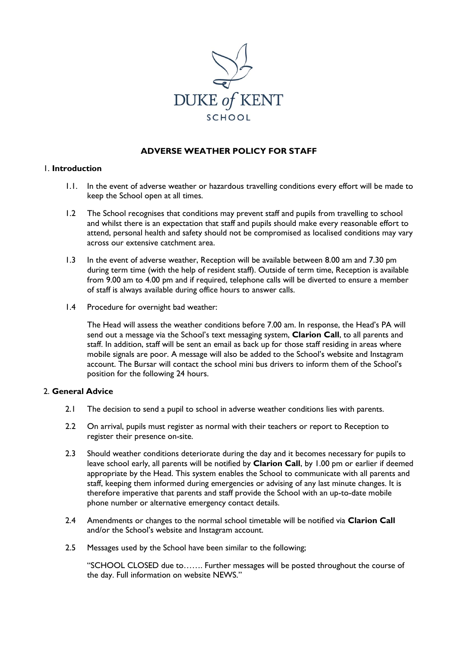

# **ADVERSE WEATHER POLICY FOR STAFF**

#### 1. **Introduction**

- 1.1. In the event of adverse weather or hazardous travelling conditions every effort will be made to keep the School open at all times.
- 1.2 The School recognises that conditions may prevent staff and pupils from travelling to school and whilst there is an expectation that staff and pupils should make every reasonable effort to attend, personal health and safety should not be compromised as localised conditions may vary across our extensive catchment area.
- 1.3 In the event of adverse weather, Reception will be available between 8.00 am and 7.30 pm during term time (with the help of resident staff). Outside of term time, Reception is available from 9.00 am to 4.00 pm and if required, telephone calls will be diverted to ensure a member of staff is always available during office hours to answer calls.
- 1.4 Procedure for overnight bad weather:

The Head will assess the weather conditions before 7.00 am. In response, the Head's PA will send out a message via the School's text messaging system, **Clarion Call**, to all parents and staff. In addition, staff will be sent an email as back up for those staff residing in areas where mobile signals are poor. A message will also be added to the School's website and Instagram account. The Bursar will contact the school mini bus drivers to inform them of the School's position for the following 24 hours.

## 2. **General Advice**

- 2.1 The decision to send a pupil to school in adverse weather conditions lies with parents.
- 2.2 On arrival, pupils must register as normal with their teachers or report to Reception to register their presence on-site.
- 2.3 Should weather conditions deteriorate during the day and it becomes necessary for pupils to leave school early, all parents will be notified by **Clarion Call**, by 1.00 pm or earlier if deemed appropriate by the Head. This system enables the School to communicate with all parents and staff, keeping them informed during emergencies or advising of any last minute changes. It is therefore imperative that parents and staff provide the School with an up-to-date mobile phone number or alternative emergency contact details.
- 2.4 Amendments or changes to the normal school timetable will be notified via **Clarion Call** and/or the School's website and Instagram account.
- 2.5 Messages used by the School have been similar to the following;

"SCHOOL CLOSED due to……. Further messages will be posted throughout the course of the day. Full information on website NEWS."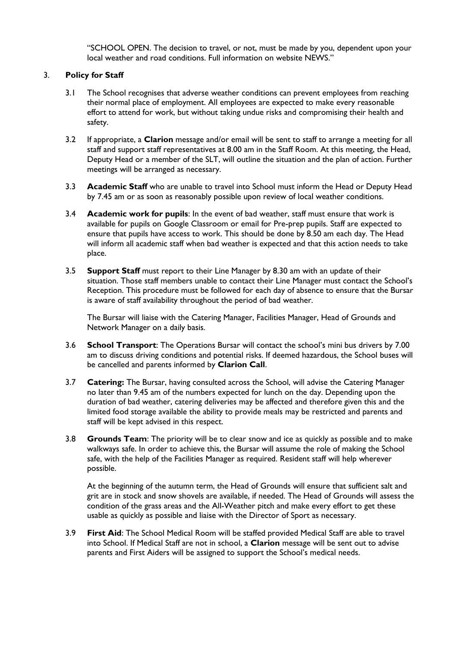"SCHOOL OPEN. The decision to travel, or not, must be made by you, dependent upon your local weather and road conditions. Full information on website NEWS."

## 3. **Policy for Staff**

- 3.1 The School recognises that adverse weather conditions can prevent employees from reaching their normal place of employment. All employees are expected to make every reasonable effort to attend for work, but without taking undue risks and compromising their health and safety.
- 3.2 If appropriate, a **Clarion** message and/or email will be sent to staff to arrange a meeting for all staff and support staff representatives at 8.00 am in the Staff Room. At this meeting, the Head, Deputy Head or a member of the SLT, will outline the situation and the plan of action. Further meetings will be arranged as necessary.
- 3.3 **Academic Staff** who are unable to travel into School must inform the Head or Deputy Head by 7.45 am or as soon as reasonably possible upon review of local weather conditions.
- 3.4 **Academic work for pupils**: In the event of bad weather, staff must ensure that work is available for pupils on Google Classroom or email for Pre-prep pupils. Staff are expected to ensure that pupils have access to work. This should be done by 8.50 am each day. The Head will inform all academic staff when bad weather is expected and that this action needs to take place.
- 3.5 **Support Staff** must report to their Line Manager by 8.30 am with an update of their situation. Those staff members unable to contact their Line Manager must contact the School's Reception. This procedure must be followed for each day of absence to ensure that the Bursar is aware of staff availability throughout the period of bad weather.

The Bursar will liaise with the Catering Manager, Facilities Manager, Head of Grounds and Network Manager on a daily basis.

- 3.6 **School Transport**: The Operations Bursar will contact the school's mini bus drivers by 7.00 am to discuss driving conditions and potential risks. If deemed hazardous, the School buses will be cancelled and parents informed by **Clarion Call**.
- 3.7 **Catering:** The Bursar, having consulted across the School, will advise the Catering Manager no later than 9.45 am of the numbers expected for lunch on the day. Depending upon the duration of bad weather, catering deliveries may be affected and therefore given this and the limited food storage available the ability to provide meals may be restricted and parents and staff will be kept advised in this respect.
- 3.8 **Grounds Team**: The priority will be to clear snow and ice as quickly as possible and to make walkways safe. In order to achieve this, the Bursar will assume the role of making the School safe, with the help of the Facilities Manager as required. Resident staff will help wherever possible.

At the beginning of the autumn term, the Head of Grounds will ensure that sufficient salt and grit are in stock and snow shovels are available, if needed. The Head of Grounds will assess the condition of the grass areas and the All-Weather pitch and make every effort to get these usable as quickly as possible and liaise with the Director of Sport as necessary.

3.9 **First Aid**: The School Medical Room will be staffed provided Medical Staff are able to travel into School. If Medical Staff are not in school, a **Clarion** message will be sent out to advise parents and First Aiders will be assigned to support the School's medical needs.